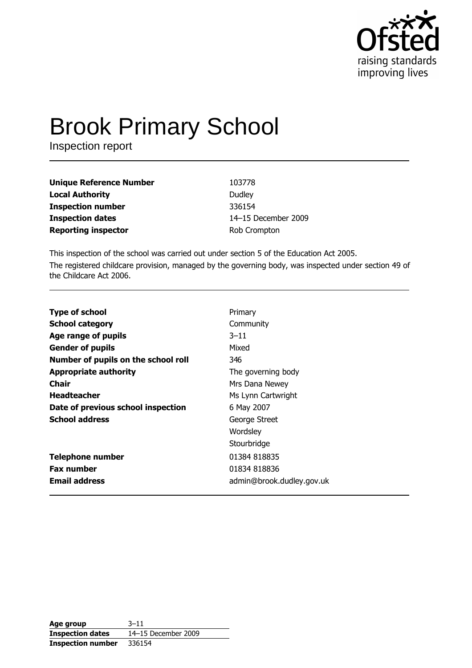

# **Brook Primary School**

Inspection report

| <b>Unique Reference Number</b> | 103778              |
|--------------------------------|---------------------|
| <b>Local Authority</b>         | Dudley              |
| <b>Inspection number</b>       | 336154              |
| <b>Inspection dates</b>        | 14-15 December 2009 |
| <b>Reporting inspector</b>     | Rob Crompton        |

This inspection of the school was carried out under section 5 of the Education Act 2005. The registered childcare provision, managed by the governing body, was inspected under section 49 of the Childcare Act 2006.

| <b>Type of school</b>               | Primary                   |
|-------------------------------------|---------------------------|
| <b>School category</b>              | Community                 |
| Age range of pupils                 | $3 - 11$                  |
| <b>Gender of pupils</b>             | Mixed                     |
| Number of pupils on the school roll | 346                       |
| <b>Appropriate authority</b>        | The governing body        |
| Chair                               | Mrs Dana Newey            |
| <b>Headteacher</b>                  | Ms Lynn Cartwright        |
| Date of previous school inspection  | 6 May 2007                |
| <b>School address</b>               | George Street             |
|                                     | Wordsley                  |
|                                     | Stourbridge               |
| <b>Telephone number</b>             | 01384 818835              |
| <b>Fax number</b>                   | 01834 818836              |
| <b>Email address</b>                | admin@brook.dudley.gov.uk |

| Age group                | $3 - 11$            |
|--------------------------|---------------------|
| <b>Inspection dates</b>  | 14-15 December 2009 |
| <b>Inspection number</b> | 336154              |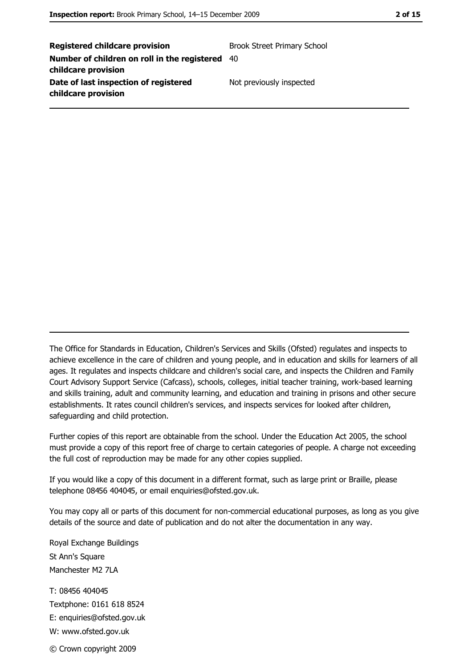**Registered childcare provision Brook Street Primary School** Number of children on roll in the registered 40 childcare provision Date of last inspection of registered Not previously inspected childcare provision

The Office for Standards in Education, Children's Services and Skills (Ofsted) regulates and inspects to achieve excellence in the care of children and young people, and in education and skills for learners of all ages. It regulates and inspects childcare and children's social care, and inspects the Children and Family Court Advisory Support Service (Cafcass), schools, colleges, initial teacher training, work-based learning and skills training, adult and community learning, and education and training in prisons and other secure establishments. It rates council children's services, and inspects services for looked after children, safequarding and child protection.

Further copies of this report are obtainable from the school. Under the Education Act 2005, the school must provide a copy of this report free of charge to certain categories of people. A charge not exceeding the full cost of reproduction may be made for any other copies supplied.

If you would like a copy of this document in a different format, such as large print or Braille, please telephone 08456 404045, or email enquiries@ofsted.gov.uk.

You may copy all or parts of this document for non-commercial educational purposes, as long as you give details of the source and date of publication and do not alter the documentation in any way.

Royal Exchange Buildings St Ann's Square Manchester M<sub>2</sub> 7I A T: 08456 404045 Textphone: 0161 618 8524 E: enquiries@ofsted.gov.uk W: www.ofsted.gov.uk © Crown copyright 2009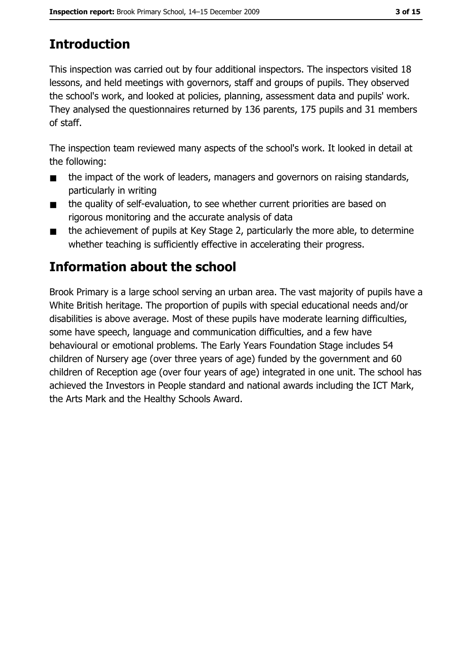# **Introduction**

This inspection was carried out by four additional inspectors. The inspectors visited 18 lessons, and held meetings with governors, staff and groups of pupils. They observed the school's work, and looked at policies, planning, assessment data and pupils' work. They analysed the questionnaires returned by 136 parents, 175 pupils and 31 members of staff.

The inspection team reviewed many aspects of the school's work. It looked in detail at the following:

- the impact of the work of leaders, managers and governors on raising standards,  $\blacksquare$ particularly in writing
- the quality of self-evaluation, to see whether current priorities are based on  $\blacksquare$ rigorous monitoring and the accurate analysis of data
- the achievement of pupils at Key Stage 2, particularly the more able, to determine  $\blacksquare$ whether teaching is sufficiently effective in accelerating their progress.

# **Information about the school**

Brook Primary is a large school serving an urban area. The vast majority of pupils have a White British heritage. The proportion of pupils with special educational needs and/or disabilities is above average. Most of these pupils have moderate learning difficulties, some have speech, language and communication difficulties, and a few have behavioural or emotional problems. The Early Years Foundation Stage includes 54 children of Nursery age (over three years of age) funded by the government and 60 children of Reception age (over four years of age) integrated in one unit. The school has achieved the Investors in People standard and national awards including the ICT Mark, the Arts Mark and the Healthy Schools Award.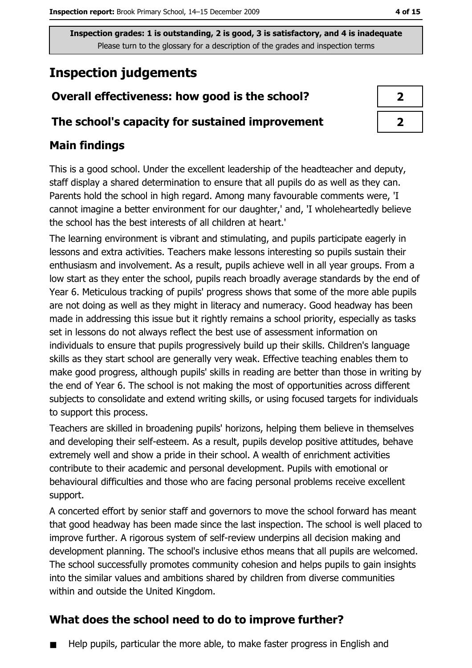# **Inspection judgements**

## Overall effectiveness: how good is the school?

#### The school's capacity for sustained improvement

## **Main findings**

This is a good school. Under the excellent leadership of the headteacher and deputy, staff display a shared determination to ensure that all pupils do as well as they can. Parents hold the school in high regard. Among many favourable comments were, 'I cannot imagine a better environment for our daughter,' and, 'I wholeheartedly believe the school has the best interests of all children at heart.'

The learning environment is vibrant and stimulating, and pupils participate eagerly in lessons and extra activities. Teachers make lessons interesting so pupils sustain their enthusiasm and involvement. As a result, pupils achieve well in all year groups. From a low start as they enter the school, pupils reach broadly average standards by the end of Year 6. Meticulous tracking of pupils' progress shows that some of the more able pupils are not doing as well as they might in literacy and numeracy. Good headway has been made in addressing this issue but it rightly remains a school priority, especially as tasks set in lessons do not always reflect the best use of assessment information on individuals to ensure that pupils progressively build up their skills. Children's language skills as they start school are generally very weak. Effective teaching enables them to make good progress, although pupils' skills in reading are better than those in writing by the end of Year 6. The school is not making the most of opportunities across different subjects to consolidate and extend writing skills, or using focused targets for individuals to support this process.

Teachers are skilled in broadening pupils' horizons, helping them believe in themselves and developing their self-esteem. As a result, pupils develop positive attitudes, behave extremely well and show a pride in their school. A wealth of enrichment activities contribute to their academic and personal development. Pupils with emotional or behavioural difficulties and those who are facing personal problems receive excellent support.

A concerted effort by senior staff and governors to move the school forward has meant that good headway has been made since the last inspection. The school is well placed to improve further. A rigorous system of self-review underpins all decision making and development planning. The school's inclusive ethos means that all pupils are welcomed. The school successfully promotes community cohesion and helps pupils to gain insights into the similar values and ambitions shared by children from diverse communities within and outside the United Kingdom.

## What does the school need to do to improve further?

Help pupils, particular the more able, to make faster progress in English and

| z |
|---|
|   |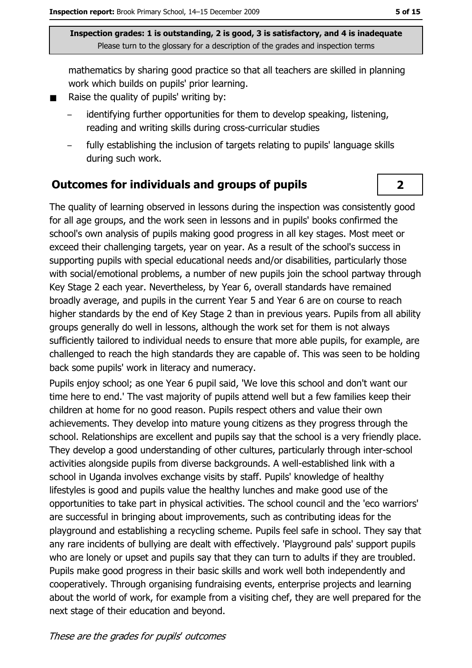mathematics by sharing good practice so that all teachers are skilled in planning work which builds on pupils' prior learning.

- Raise the quality of pupils' writing by:  $\blacksquare$ 
	- identifying further opportunities for them to develop speaking, listening, reading and writing skills during cross-curricular studies
	- fully establishing the inclusion of targets relating to pupils' language skills during such work.

## Outcomes for individuals and groups of pupils

The quality of learning observed in lessons during the inspection was consistently good for all age groups, and the work seen in lessons and in pupils' books confirmed the school's own analysis of pupils making good progress in all key stages. Most meet or exceed their challenging targets, year on year. As a result of the school's success in supporting pupils with special educational needs and/or disabilities, particularly those with social/emotional problems, a number of new pupils join the school partway through Key Stage 2 each year. Nevertheless, by Year 6, overall standards have remained broadly average, and pupils in the current Year 5 and Year 6 are on course to reach higher standards by the end of Key Stage 2 than in previous years. Pupils from all ability groups generally do well in lessons, although the work set for them is not always sufficiently tailored to individual needs to ensure that more able pupils, for example, are challenged to reach the high standards they are capable of. This was seen to be holding back some pupils' work in literacy and numeracy.

Pupils enjoy school; as one Year 6 pupil said, 'We love this school and don't want our time here to end.' The vast majority of pupils attend well but a few families keep their children at home for no good reason. Pupils respect others and value their own achievements. They develop into mature young citizens as they progress through the school. Relationships are excellent and pupils say that the school is a very friendly place. They develop a good understanding of other cultures, particularly through inter-school activities alongside pupils from diverse backgrounds. A well-established link with a school in Uganda involves exchange visits by staff. Pupils' knowledge of healthy lifestyles is good and pupils value the healthy lunches and make good use of the opportunities to take part in physical activities. The school council and the 'eco warriors' are successful in bringing about improvements, such as contributing ideas for the playground and establishing a recycling scheme. Pupils feel safe in school. They say that any rare incidents of bullying are dealt with effectively. 'Playground pals' support pupils who are lonely or upset and pupils say that they can turn to adults if they are troubled. Pupils make good progress in their basic skills and work well both independently and cooperatively. Through organising fundraising events, enterprise projects and learning about the world of work, for example from a visiting chef, they are well prepared for the next stage of their education and beyond.

 $\overline{2}$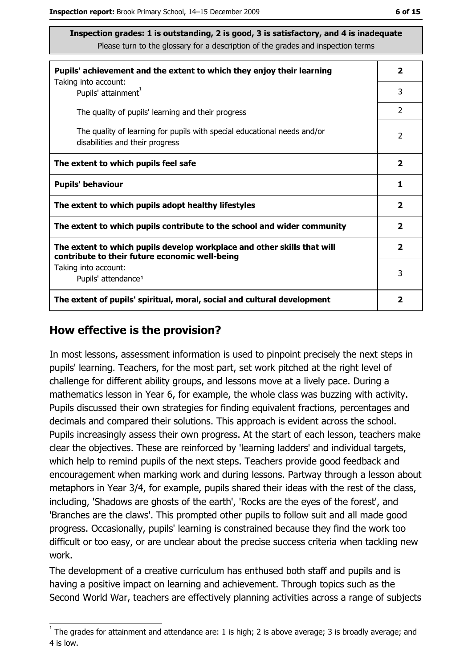| Pupils' achievement and the extent to which they enjoy their learning                                                     |               |  |  |
|---------------------------------------------------------------------------------------------------------------------------|---------------|--|--|
| Taking into account:<br>Pupils' attainment <sup>1</sup>                                                                   | 3             |  |  |
| The quality of pupils' learning and their progress                                                                        | $\mathcal{P}$ |  |  |
| The quality of learning for pupils with special educational needs and/or<br>disabilities and their progress               |               |  |  |
| The extent to which pupils feel safe                                                                                      |               |  |  |
| <b>Pupils' behaviour</b>                                                                                                  |               |  |  |
| The extent to which pupils adopt healthy lifestyles                                                                       |               |  |  |
| The extent to which pupils contribute to the school and wider community                                                   |               |  |  |
| The extent to which pupils develop workplace and other skills that will<br>contribute to their future economic well-being |               |  |  |
| Taking into account:<br>Pupils' attendance <sup>1</sup>                                                                   |               |  |  |
| The extent of pupils' spiritual, moral, social and cultural development                                                   |               |  |  |

#### How effective is the provision?

In most lessons, assessment information is used to pinpoint precisely the next steps in pupils' learning. Teachers, for the most part, set work pitched at the right level of challenge for different ability groups, and lessons move at a lively pace. During a mathematics lesson in Year 6, for example, the whole class was buzzing with activity. Pupils discussed their own strategies for finding equivalent fractions, percentages and decimals and compared their solutions. This approach is evident across the school. Pupils increasingly assess their own progress. At the start of each lesson, teachers make clear the objectives. These are reinforced by 'learning ladders' and individual targets, which help to remind pupils of the next steps. Teachers provide good feedback and encouragement when marking work and during lessons. Partway through a lesson about metaphors in Year 3/4, for example, pupils shared their ideas with the rest of the class, including, 'Shadows are ghosts of the earth', 'Rocks are the eyes of the forest', and 'Branches are the claws'. This prompted other pupils to follow suit and all made good progress. Occasionally, pupils' learning is constrained because they find the work too difficult or too easy, or are unclear about the precise success criteria when tackling new work.

The development of a creative curriculum has enthused both staff and pupils and is having a positive impact on learning and achievement. Through topics such as the Second World War, teachers are effectively planning activities across a range of subjects

 $1$  The grades for attainment and attendance are: 1 is high; 2 is above average; 3 is broadly average; and 4 is low.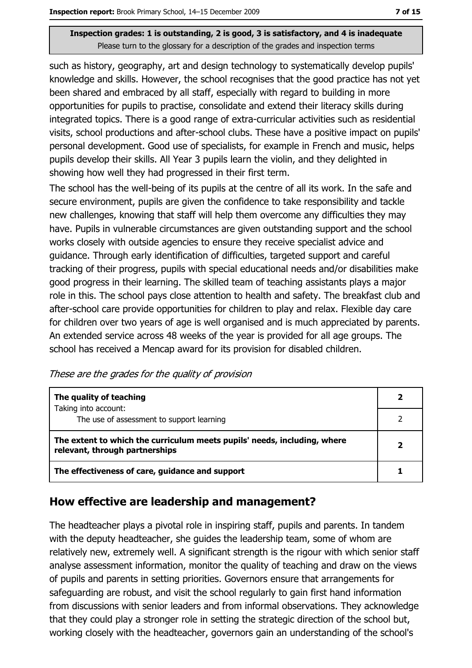such as history, geography, art and design technology to systematically develop pupils' knowledge and skills. However, the school recognises that the good practice has not yet been shared and embraced by all staff, especially with regard to building in more opportunities for pupils to practise, consolidate and extend their literacy skills during integrated topics. There is a good range of extra-curricular activities such as residential visits, school productions and after-school clubs. These have a positive impact on pupils' personal development. Good use of specialists, for example in French and music, helps pupils develop their skills. All Year 3 pupils learn the violin, and they delighted in showing how well they had progressed in their first term.

The school has the well-being of its pupils at the centre of all its work. In the safe and secure environment, pupils are given the confidence to take responsibility and tackle new challenges, knowing that staff will help them overcome any difficulties they may have. Pupils in vulnerable circumstances are given outstanding support and the school works closely with outside agencies to ensure they receive specialist advice and guidance. Through early identification of difficulties, targeted support and careful tracking of their progress, pupils with special educational needs and/or disabilities make good progress in their learning. The skilled team of teaching assistants plays a major role in this. The school pays close attention to health and safety. The breakfast club and after-school care provide opportunities for children to play and relax. Flexible day care for children over two years of age is well organised and is much appreciated by parents. An extended service across 48 weeks of the year is provided for all age groups. The school has received a Mencap award for its provision for disabled children.

These are the grades for the quality of provision

| The quality of teaching                                                                                    |  |
|------------------------------------------------------------------------------------------------------------|--|
| Taking into account:<br>The use of assessment to support learning                                          |  |
| The extent to which the curriculum meets pupils' needs, including, where<br>relevant, through partnerships |  |
| The effectiveness of care, guidance and support                                                            |  |

#### How effective are leadership and management?

The headteacher plays a pivotal role in inspiring staff, pupils and parents. In tandem with the deputy headteacher, she quides the leadership team, some of whom are relatively new, extremely well. A significant strength is the rigour with which senior staff analyse assessment information, monitor the quality of teaching and draw on the views of pupils and parents in setting priorities. Governors ensure that arrangements for safeguarding are robust, and visit the school regularly to gain first hand information from discussions with senior leaders and from informal observations. They acknowledge that they could play a stronger role in setting the strategic direction of the school but, working closely with the headteacher, governors gain an understanding of the school's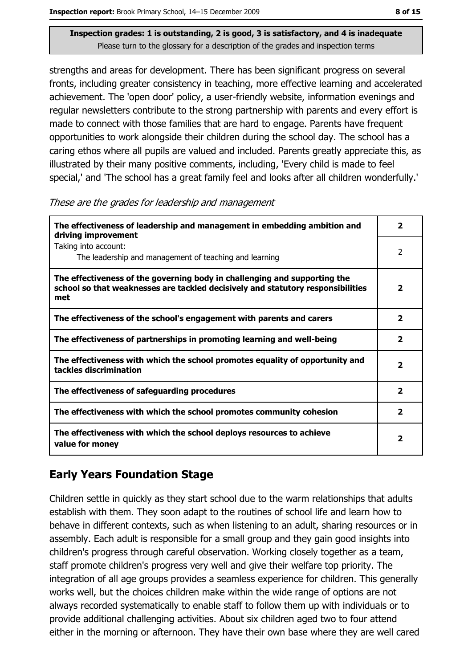strengths and areas for development. There has been significant progress on several fronts, including greater consistency in teaching, more effective learning and accelerated achievement. The 'open door' policy, a user-friendly website, information evenings and regular newsletters contribute to the strong partnership with parents and every effort is made to connect with those families that are hard to engage. Parents have frequent opportunities to work alongside their children during the school day. The school has a caring ethos where all pupils are valued and included. Parents greatly appreciate this, as illustrated by their many positive comments, including, 'Every child is made to feel special,' and 'The school has a great family feel and looks after all children wonderfully.'

These are the grades for leadership and management

| The effectiveness of leadership and management in embedding ambition and<br>driving improvement                                                                     |                         |  |  |
|---------------------------------------------------------------------------------------------------------------------------------------------------------------------|-------------------------|--|--|
| Taking into account:<br>The leadership and management of teaching and learning                                                                                      | 2                       |  |  |
| The effectiveness of the governing body in challenging and supporting the<br>school so that weaknesses are tackled decisively and statutory responsibilities<br>met | $\overline{\mathbf{2}}$ |  |  |
| The effectiveness of the school's engagement with parents and carers                                                                                                | $\overline{\mathbf{2}}$ |  |  |
| The effectiveness of partnerships in promoting learning and well-being                                                                                              | $\overline{\mathbf{2}}$ |  |  |
| The effectiveness with which the school promotes equality of opportunity and<br>tackles discrimination                                                              | $\mathbf{2}$            |  |  |
| The effectiveness of safeguarding procedures                                                                                                                        | $\overline{\mathbf{2}}$ |  |  |
| The effectiveness with which the school promotes community cohesion                                                                                                 | $\overline{\mathbf{2}}$ |  |  |
| The effectiveness with which the school deploys resources to achieve<br>value for money                                                                             | 2                       |  |  |

## **Early Years Foundation Stage**

Children settle in quickly as they start school due to the warm relationships that adults establish with them. They soon adapt to the routines of school life and learn how to behave in different contexts, such as when listening to an adult, sharing resources or in assembly. Each adult is responsible for a small group and they gain good insights into children's progress through careful observation. Working closely together as a team, staff promote children's progress very well and give their welfare top priority. The integration of all age groups provides a seamless experience for children. This generally works well, but the choices children make within the wide range of options are not always recorded systematically to enable staff to follow them up with individuals or to provide additional challenging activities. About six children aged two to four attend either in the morning or afternoon. They have their own base where they are well cared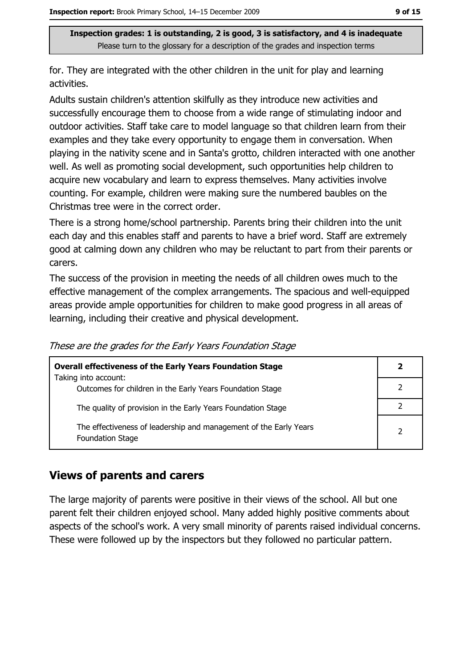for. They are integrated with the other children in the unit for play and learning activities.

Adults sustain children's attention skilfully as they introduce new activities and successfully encourage them to choose from a wide range of stimulating indoor and outdoor activities. Staff take care to model language so that children learn from their examples and they take every opportunity to engage them in conversation. When playing in the nativity scene and in Santa's grotto, children interacted with one another well. As well as promoting social development, such opportunities help children to acquire new vocabulary and learn to express themselves. Many activities involve counting. For example, children were making sure the numbered baubles on the Christmas tree were in the correct order.

There is a strong home/school partnership. Parents bring their children into the unit each day and this enables staff and parents to have a brief word. Staff are extremely good at calming down any children who may be reluctant to part from their parents or carers.

The success of the provision in meeting the needs of all children owes much to the effective management of the complex arrangements. The spacious and well-equipped areas provide ample opportunities for children to make good progress in all areas of learning, including their creative and physical development.

|  |  |  | These are the grades for the Early Years Foundation Stage |
|--|--|--|-----------------------------------------------------------|
|  |  |  |                                                           |

| <b>Overall effectiveness of the Early Years Foundation Stage</b>                             |                |  |
|----------------------------------------------------------------------------------------------|----------------|--|
| Taking into account:                                                                         |                |  |
| Outcomes for children in the Early Years Foundation Stage                                    |                |  |
| The quality of provision in the Early Years Foundation Stage                                 |                |  |
| The effectiveness of leadership and management of the Early Years<br><b>Foundation Stage</b> | $\overline{2}$ |  |

#### **Views of parents and carers**

The large majority of parents were positive in their views of the school. All but one parent felt their children enjoyed school. Many added highly positive comments about aspects of the school's work. A very small minority of parents raised individual concerns. These were followed up by the inspectors but they followed no particular pattern.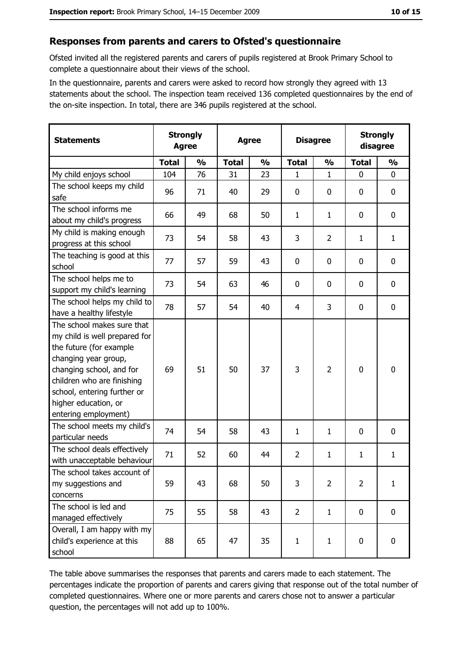#### Responses from parents and carers to Ofsted's questionnaire

Ofsted invited all the registered parents and carers of pupils registered at Brook Primary School to complete a questionnaire about their views of the school.

In the questionnaire, parents and carers were asked to record how strongly they agreed with 13 statements about the school. The inspection team received 136 completed questionnaires by the end of the on-site inspection. In total, there are 346 pupils registered at the school.

| <b>Statements</b>                                                                                                                                                                                                                                       | <b>Agree</b> | <b>Strongly</b> |              | <b>Disagree</b><br><b>Agree</b> |                | <b>Strongly</b><br>disagree |                |               |
|---------------------------------------------------------------------------------------------------------------------------------------------------------------------------------------------------------------------------------------------------------|--------------|-----------------|--------------|---------------------------------|----------------|-----------------------------|----------------|---------------|
|                                                                                                                                                                                                                                                         | <b>Total</b> | $\frac{0}{0}$   | <b>Total</b> | $\frac{0}{0}$                   | <b>Total</b>   | $\frac{0}{0}$               | <b>Total</b>   | $\frac{0}{0}$ |
| My child enjoys school                                                                                                                                                                                                                                  | 104          | 76              | 31           | 23                              | 1              | $\mathbf{1}$                | 0              | $\mathbf 0$   |
| The school keeps my child<br>safe                                                                                                                                                                                                                       | 96           | 71              | 40           | 29                              | $\mathbf 0$    | 0                           | 0              | 0             |
| The school informs me<br>about my child's progress                                                                                                                                                                                                      | 66           | 49              | 68           | 50                              | $\mathbf{1}$   | $\mathbf{1}$                | 0              | 0             |
| My child is making enough<br>progress at this school                                                                                                                                                                                                    | 73           | 54              | 58           | 43                              | 3              | $\overline{2}$              | 1              | $\mathbf{1}$  |
| The teaching is good at this<br>school                                                                                                                                                                                                                  | 77           | 57              | 59           | 43                              | $\mathbf 0$    | 0                           | 0              | $\mathbf 0$   |
| The school helps me to<br>support my child's learning                                                                                                                                                                                                   | 73           | 54              | 63           | 46                              | 0              | 0                           | 0              | 0             |
| The school helps my child to<br>have a healthy lifestyle                                                                                                                                                                                                | 78           | 57              | 54           | 40                              | 4              | 3                           | 0              | 0             |
| The school makes sure that<br>my child is well prepared for<br>the future (for example<br>changing year group,<br>changing school, and for<br>children who are finishing<br>school, entering further or<br>higher education, or<br>entering employment) | 69           | 51              | 50           | 37                              | 3              | $\overline{2}$              | 0              | $\mathbf 0$   |
| The school meets my child's<br>particular needs                                                                                                                                                                                                         | 74           | 54              | 58           | 43                              | $\mathbf{1}$   | 1                           | 0              | 0             |
| The school deals effectively<br>with unacceptable behaviour                                                                                                                                                                                             | 71           | 52              | 60           | 44                              | $\overline{2}$ | 1                           | 1              | $\mathbf{1}$  |
| The school takes account of<br>my suggestions and<br>concerns                                                                                                                                                                                           | 59           | 43              | 68           | 50                              | 3              | $\overline{2}$              | $\overline{2}$ | $\mathbf{1}$  |
| The school is led and<br>managed effectively                                                                                                                                                                                                            | 75           | 55              | 58           | 43                              | $\overline{2}$ | $\mathbf{1}$                | $\mathbf 0$    | 0             |
| Overall, I am happy with my<br>child's experience at this<br>school                                                                                                                                                                                     | 88           | 65              | 47           | 35                              | $\mathbf{1}$   | $\mathbf{1}$                | $\bf{0}$       | $\pmb{0}$     |

The table above summarises the responses that parents and carers made to each statement. The percentages indicate the proportion of parents and carers giving that response out of the total number of completed questionnaires. Where one or more parents and carers chose not to answer a particular question, the percentages will not add up to 100%.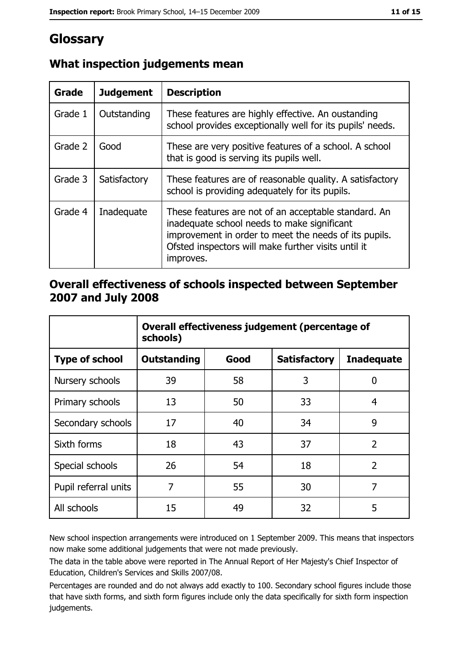# Glossary

| <b>Grade</b> | <b>Judgement</b> | <b>Description</b>                                                                                                                                                                                                               |
|--------------|------------------|----------------------------------------------------------------------------------------------------------------------------------------------------------------------------------------------------------------------------------|
| Grade 1      | Outstanding      | These features are highly effective. An oustanding<br>school provides exceptionally well for its pupils' needs.                                                                                                                  |
| Grade 2      | Good             | These are very positive features of a school. A school<br>that is good is serving its pupils well.                                                                                                                               |
| Grade 3      | Satisfactory     | These features are of reasonable quality. A satisfactory<br>school is providing adequately for its pupils.                                                                                                                       |
| Grade 4      | Inadequate       | These features are not of an acceptable standard. An<br>inadequate school needs to make significant<br>improvement in order to meet the needs of its pupils.<br>Ofsted inspectors will make further visits until it<br>improves. |

## What inspection judgements mean

#### Overall effectiveness of schools inspected between September 2007 and July 2008

|                       | Overall effectiveness judgement (percentage of<br>schools) |      |                     |                   |  |  |
|-----------------------|------------------------------------------------------------|------|---------------------|-------------------|--|--|
| <b>Type of school</b> | <b>Outstanding</b>                                         | Good | <b>Satisfactory</b> | <b>Inadequate</b> |  |  |
| Nursery schools       | 39                                                         | 58   | 3                   | 0                 |  |  |
| Primary schools       | 13                                                         | 50   | 33                  | 4                 |  |  |
| Secondary schools     | 17                                                         | 40   | 34                  | 9                 |  |  |
| Sixth forms           | 18                                                         | 43   | 37                  | $\overline{2}$    |  |  |
| Special schools       | 26                                                         | 54   | 18                  | $\overline{2}$    |  |  |
| Pupil referral units  | 7                                                          | 55   | 30                  | 7                 |  |  |
| All schools           | 15                                                         | 49   | 32                  | 5                 |  |  |

New school inspection arrangements were introduced on 1 September 2009. This means that inspectors now make some additional judgements that were not made previously.

The data in the table above were reported in The Annual Report of Her Majesty's Chief Inspector of Education, Children's Services and Skills 2007/08.

Percentages are rounded and do not always add exactly to 100. Secondary school figures include those that have sixth forms, and sixth form figures include only the data specifically for sixth form inspection judgements.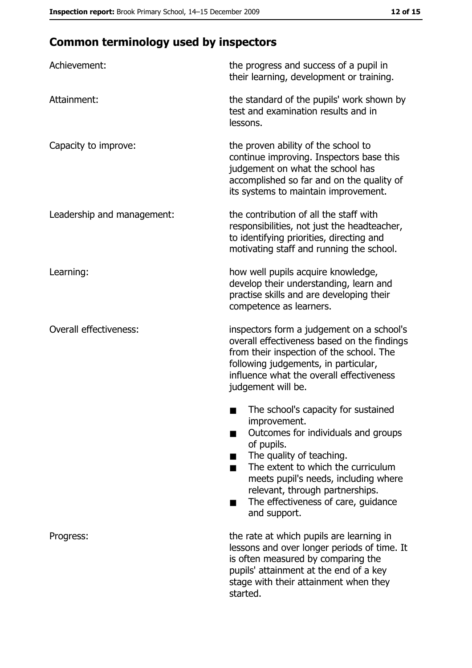# **Common terminology used by inspectors**

| Achievement:                  | the progress and success of a pupil in<br>their learning, development or training.                                                                                                                                                                                                                           |
|-------------------------------|--------------------------------------------------------------------------------------------------------------------------------------------------------------------------------------------------------------------------------------------------------------------------------------------------------------|
| Attainment:                   | the standard of the pupils' work shown by<br>test and examination results and in<br>lessons.                                                                                                                                                                                                                 |
| Capacity to improve:          | the proven ability of the school to<br>continue improving. Inspectors base this<br>judgement on what the school has<br>accomplished so far and on the quality of<br>its systems to maintain improvement.                                                                                                     |
| Leadership and management:    | the contribution of all the staff with<br>responsibilities, not just the headteacher,<br>to identifying priorities, directing and<br>motivating staff and running the school.                                                                                                                                |
| Learning:                     | how well pupils acquire knowledge,<br>develop their understanding, learn and<br>practise skills and are developing their<br>competence as learners.                                                                                                                                                          |
| <b>Overall effectiveness:</b> | inspectors form a judgement on a school's<br>overall effectiveness based on the findings<br>from their inspection of the school. The<br>following judgements, in particular,<br>influence what the overall effectiveness<br>judgement will be.                                                               |
|                               | The school's capacity for sustained<br>improvement.<br>Outcomes for individuals and groups<br>of pupils.<br>The quality of teaching.<br>The extent to which the curriculum<br>meets pupil's needs, including where<br>relevant, through partnerships.<br>The effectiveness of care, guidance<br>and support. |
| Progress:                     | the rate at which pupils are learning in<br>lessons and over longer periods of time. It<br>is often measured by comparing the<br>pupils' attainment at the end of a key<br>stage with their attainment when they<br>started.                                                                                 |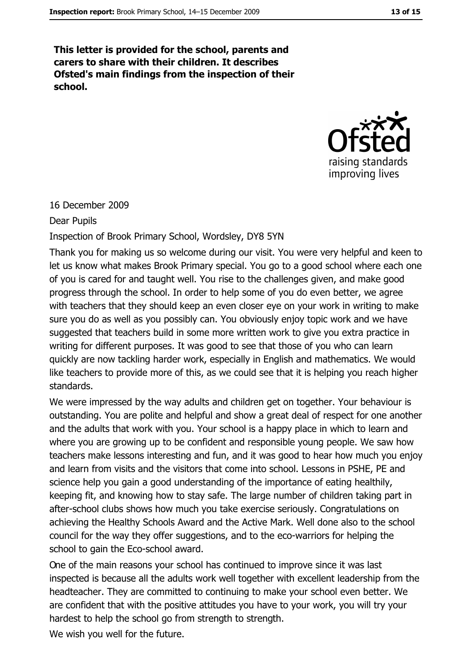This letter is provided for the school, parents and carers to share with their children. It describes Ofsted's main findings from the inspection of their school.



#### 16 December 2009

#### **Dear Pupils**

#### Inspection of Brook Primary School, Wordsley, DY8 5YN

Thank you for making us so welcome during our visit. You were very helpful and keen to let us know what makes Brook Primary special. You go to a good school where each one of you is cared for and taught well. You rise to the challenges given, and make good progress through the school. In order to help some of you do even better, we agree with teachers that they should keep an even closer eye on your work in writing to make sure you do as well as you possibly can. You obviously enjoy topic work and we have suggested that teachers build in some more written work to give you extra practice in writing for different purposes. It was good to see that those of you who can learn quickly are now tackling harder work, especially in English and mathematics. We would like teachers to provide more of this, as we could see that it is helping you reach higher standards.

We were impressed by the way adults and children get on together. Your behaviour is outstanding. You are polite and helpful and show a great deal of respect for one another and the adults that work with you. Your school is a happy place in which to learn and where you are growing up to be confident and responsible young people. We saw how teachers make lessons interesting and fun, and it was good to hear how much you enjoy and learn from visits and the visitors that come into school. Lessons in PSHE, PE and science help you gain a good understanding of the importance of eating healthily, keeping fit, and knowing how to stay safe. The large number of children taking part in after-school clubs shows how much you take exercise seriously. Congratulations on achieving the Healthy Schools Award and the Active Mark. Well done also to the school council for the way they offer suggestions, and to the eco-warriors for helping the school to gain the Eco-school award.

One of the main reasons your school has continued to improve since it was last inspected is because all the adults work well together with excellent leadership from the headteacher. They are committed to continuing to make your school even better. We are confident that with the positive attitudes you have to your work, you will try your hardest to help the school go from strength to strength.

We wish you well for the future.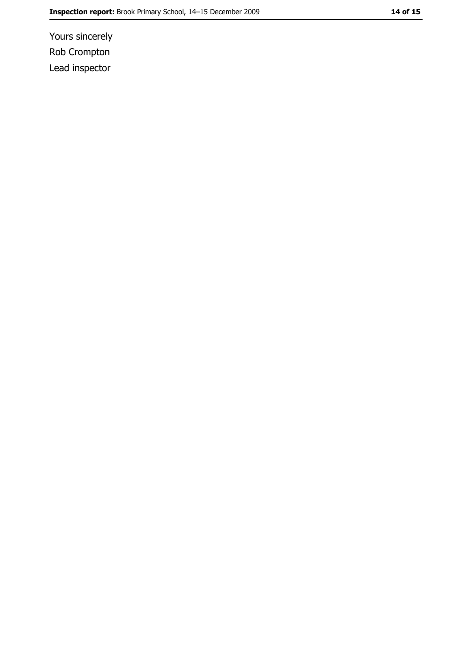Yours sincerely Rob Crompton Lead inspector